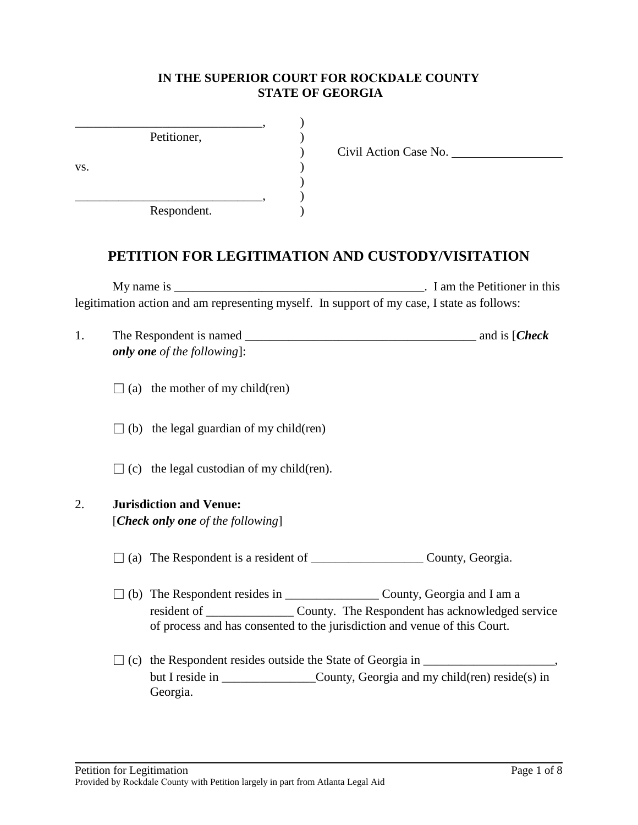### **IN THE SUPERIOR COURT FOR ROCKDALE COUNTY STATE OF GEORGIA**

|     | Petitioner, |  |
|-----|-------------|--|
|     |             |  |
| VS. |             |  |
|     |             |  |
|     |             |  |
|     | Respondent. |  |

) Civil Action Case No.

# **PETITION FOR LEGITIMATION AND CUSTODY/VISITATION**

My name is \_\_\_\_\_\_\_\_\_\_\_\_\_\_\_\_\_\_\_\_\_\_\_\_\_\_\_\_\_\_\_\_\_\_\_\_\_\_\_\_. I am the Petitioner in this legitimation action and am representing myself. In support of my case, I state as follows:

| The Respondent is named            | and is [ <i>Check</i> |
|------------------------------------|-----------------------|
| <b>only one</b> of the following]: |                       |

 $\Box$  (a) the mother of my child(ren)

 $\Box$  (b) the legal guardian of my child(ren)

 $\Box$  (c) the legal custodian of my child(ren).

#### 2. **Jurisdiction and Venue:**

[*Check only one of the following*]

- $\Box$  (a) The Respondent is a resident of \_\_\_\_\_\_\_\_\_\_\_\_\_\_\_\_\_\_\_\_\_\_\_\_ County, Georgia.
- □ (b) The Respondent resides in \_\_\_\_\_\_\_\_\_\_\_\_\_\_\_ County, Georgia and I am a resident of \_\_\_\_\_\_\_\_\_\_\_\_\_\_ County. The Respondent has acknowledged service of process and has consented to the jurisdiction and venue of this Court.
- $\Box$  (c) the Respondent resides outside the State of Georgia in  $\Box$ but I reside in County, Georgia and my child(ren) reside(s) in Georgia.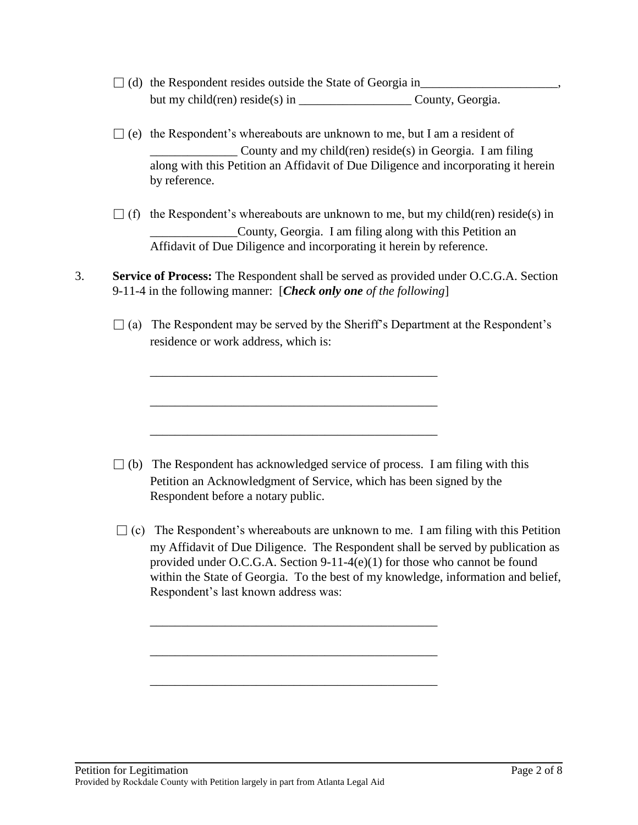- □ (d) the Respondent resides outside the State of Georgia in\_\_\_\_\_\_\_\_\_\_\_\_\_\_\_\_\_\_\_\_\_\_, but my child(ren) reside(s) in County, Georgia.
- $\Box$  (e) the Respondent's whereabouts are unknown to me, but I am a resident of County and my child(ren) reside(s) in Georgia. I am filing along with this Petition an Affidavit of Due Diligence and incorporating it herein by reference.
- $\Box$  (f) the Respondent's whereabouts are unknown to me, but my child(ren) reside(s) in \_\_\_\_\_\_\_\_\_\_\_\_\_\_County, Georgia. I am filing along with this Petition an Affidavit of Due Diligence and incorporating it herein by reference.
- 3. **Service of Process:** The Respondent shall be served as provided under O.C.G.A. Section 9-11-4 in the following manner: [*Check only one of the following*]

\_\_\_\_\_\_\_\_\_\_\_\_\_\_\_\_\_\_\_\_\_\_\_\_\_\_\_\_\_\_\_\_\_\_\_\_\_\_\_\_\_\_\_\_\_\_

\_\_\_\_\_\_\_\_\_\_\_\_\_\_\_\_\_\_\_\_\_\_\_\_\_\_\_\_\_\_\_\_\_\_\_\_\_\_\_\_\_\_\_\_\_\_

\_\_\_\_\_\_\_\_\_\_\_\_\_\_\_\_\_\_\_\_\_\_\_\_\_\_\_\_\_\_\_\_\_\_\_\_\_\_\_\_\_\_\_\_\_\_

\_\_\_\_\_\_\_\_\_\_\_\_\_\_\_\_\_\_\_\_\_\_\_\_\_\_\_\_\_\_\_\_\_\_\_\_\_\_\_\_\_\_\_\_\_\_

\_\_\_\_\_\_\_\_\_\_\_\_\_\_\_\_\_\_\_\_\_\_\_\_\_\_\_\_\_\_\_\_\_\_\_\_\_\_\_\_\_\_\_\_\_\_

\_\_\_\_\_\_\_\_\_\_\_\_\_\_\_\_\_\_\_\_\_\_\_\_\_\_\_\_\_\_\_\_\_\_\_\_\_\_\_\_\_\_\_\_\_\_

 $\Box$  (a) The Respondent may be served by the Sheriff's Department at the Respondent's residence or work address, which is:

- $\Box$  (b) The Respondent has acknowledged service of process. I am filing with this Petition an Acknowledgment of Service, which has been signed by the Respondent before a notary public.
- $\Box$  (c) The Respondent's whereabouts are unknown to me. I am filing with this Petition my Affidavit of Due Diligence. The Respondent shall be served by publication as provided under O.C.G.A. Section 9-11-4(e)(1) for those who cannot be found within the State of Georgia. To the best of my knowledge, information and belief, Respondent's last known address was: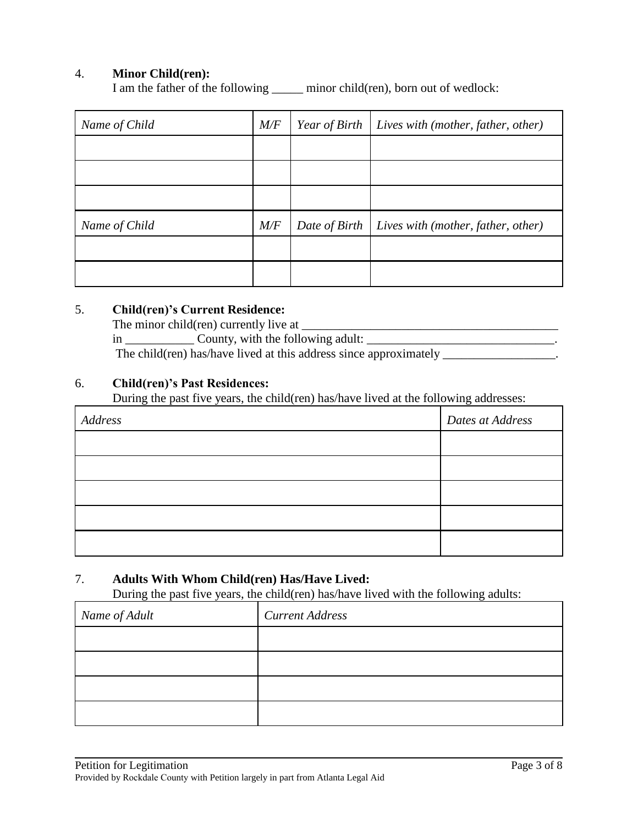### 4. **Minor Child(ren):**

I am the father of the following \_\_\_\_\_ minor child(ren), born out of wedlock:

| Name of Child | $M\!/\!F$ | Year of Birth | Lives with (mother, father, other) |
|---------------|-----------|---------------|------------------------------------|
|               |           |               |                                    |
|               |           |               |                                    |
|               |           |               |                                    |
| Name of Child | M/F       | Date of Birth | Lives with (mother, father, other) |
|               |           |               |                                    |
|               |           |               |                                    |

#### 5. **Child(ren)'s Current Residence:**

The minor child(ren) currently live at \_\_\_\_\_\_\_\_\_\_\_\_\_\_\_\_\_\_\_\_\_\_\_\_\_\_\_\_\_\_\_\_\_\_\_\_\_\_\_\_\_

in County, with the following adult:

The child(ren) has/have lived at this address since approximately \_\_\_\_\_\_\_\_\_\_\_\_\_\_\_\_.

#### 6. **Child(ren)'s Past Residences:**

During the past five years, the child(ren) has/have lived at the following addresses:

| Address | Dates at Address |
|---------|------------------|
|         |                  |
|         |                  |
|         |                  |
|         |                  |
|         |                  |

## 7. **Adults With Whom Child(ren) Has/Have Lived:**

During the past five years, the child(ren) has/have lived with the following adults:

| Name of Adult | <b>Current Address</b> |
|---------------|------------------------|
|               |                        |
|               |                        |
|               |                        |
|               |                        |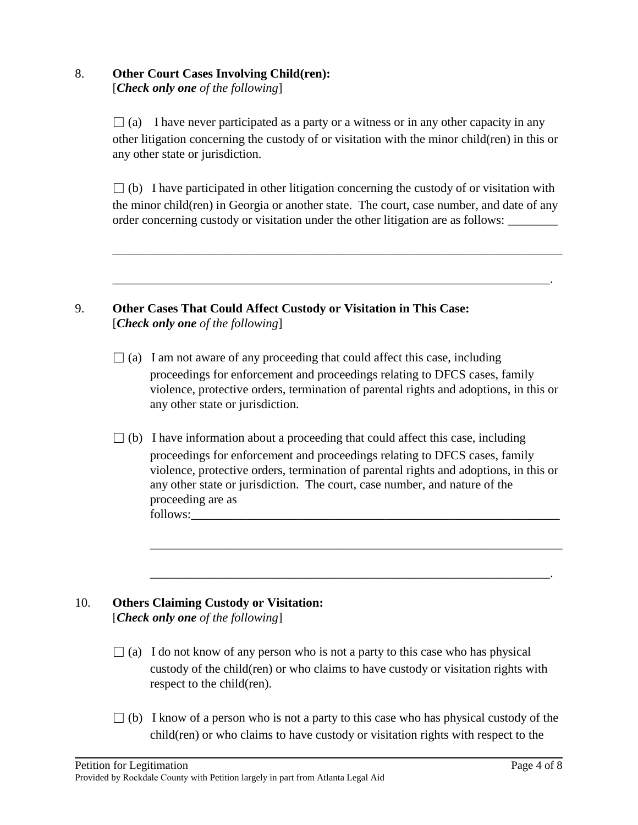#### 8. **Other Court Cases Involving Child(ren):** [*Check only one of the following*]

 $\Box$  (a) I have never participated as a party or a witness or in any other capacity in any other litigation concerning the custody of or visitation with the minor child(ren) in this or any other state or jurisdiction.

 $\Box$  (b) I have participated in other litigation concerning the custody of or visitation with the minor child(ren) in Georgia or another state. The court, case number, and date of any order concerning custody or visitation under the other litigation are as follows:

\_\_\_\_\_\_\_\_\_\_\_\_\_\_\_\_\_\_\_\_\_\_\_\_\_\_\_\_\_\_\_\_\_\_\_\_\_\_\_\_\_\_\_\_\_\_\_\_\_\_\_\_\_\_\_\_\_\_\_\_\_\_\_\_\_\_\_\_\_\_\_\_

\_\_\_\_\_\_\_\_\_\_\_\_\_\_\_\_\_\_\_\_\_\_\_\_\_\_\_\_\_\_\_\_\_\_\_\_\_\_\_\_\_\_\_\_\_\_\_\_\_\_\_\_\_\_\_\_\_\_\_\_\_\_\_\_\_\_\_\_\_\_.

## 9. **Other Cases That Could Affect Custody or Visitation in This Case:** [*Check only one of the following*]

- $\Box$  (a) I am not aware of any proceeding that could affect this case, including proceedings for enforcement and proceedings relating to DFCS cases, family violence, protective orders, termination of parental rights and adoptions, in this or any other state or jurisdiction.
- $\Box$  (b) I have information about a proceeding that could affect this case, including proceedings for enforcement and proceedings relating to DFCS cases, family violence, protective orders, termination of parental rights and adoptions, in this or any other state or jurisdiction. The court, case number, and nature of the proceeding are as follows:\_\_\_\_\_\_\_\_\_\_\_\_\_\_\_\_\_\_\_\_\_\_\_\_\_\_\_\_\_\_\_\_\_\_\_\_\_\_\_\_\_\_\_\_\_\_\_\_\_\_\_\_\_\_\_\_\_\_\_

\_\_\_\_\_\_\_\_\_\_\_\_\_\_\_\_\_\_\_\_\_\_\_\_\_\_\_\_\_\_\_\_\_\_\_\_\_\_\_\_\_\_\_\_\_\_\_\_\_\_\_\_\_\_\_\_\_\_\_\_\_\_\_\_\_\_

\_\_\_\_\_\_\_\_\_\_\_\_\_\_\_\_\_\_\_\_\_\_\_\_\_\_\_\_\_\_\_\_\_\_\_\_\_\_\_\_\_\_\_\_\_\_\_\_\_\_\_\_\_\_\_\_\_\_\_\_\_\_\_\_.

## 10. **Others Claiming Custody or Visitation:** [*Check only one of the following*]

- $\Box$  (a) I do not know of any person who is not a party to this case who has physical custody of the child(ren) or who claims to have custody or visitation rights with respect to the child(ren).
- $\Box$  (b) I know of a person who is not a party to this case who has physical custody of the child(ren) or who claims to have custody or visitation rights with respect to the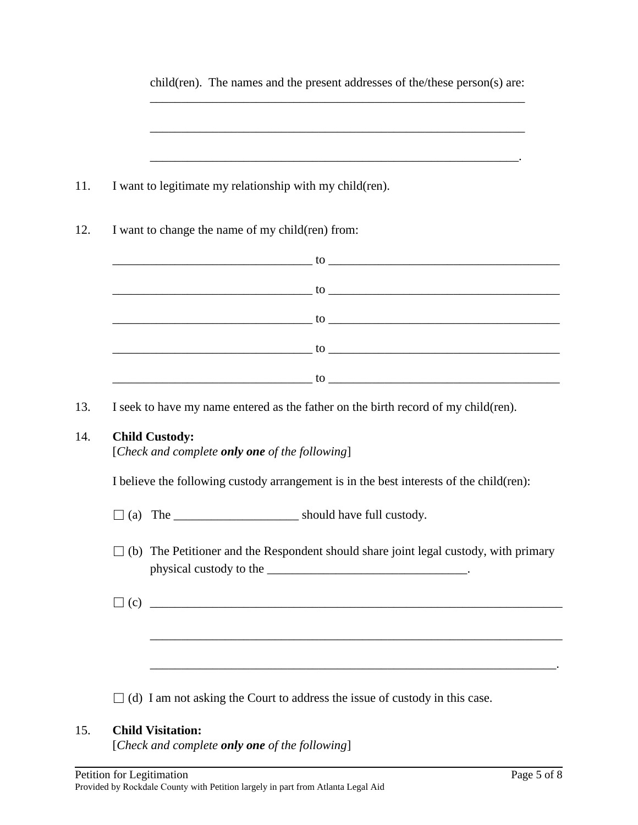| I want to legitimate my relationship with my child (ren).                                                                                                                                                                    |
|------------------------------------------------------------------------------------------------------------------------------------------------------------------------------------------------------------------------------|
| I want to change the name of my child(ren) from:                                                                                                                                                                             |
|                                                                                                                                                                                                                              |
|                                                                                                                                                                                                                              |
| $10$ and $10$ and $10$ and $10$ and $10$ and $10$ and $10$ and $10$ and $10$ and $10$ and $10$ and $10$ and $10$ and $10$ and $10$ and $10$ and $10$ and $10$ and $10$ and $10$ and $10$ and $10$ and $10$ and $10$ and $10$ |
|                                                                                                                                                                                                                              |
|                                                                                                                                                                                                                              |
|                                                                                                                                                                                                                              |
| I seek to have my name entered as the father on the birth record of my child (ren).<br><b>Child Custody:</b><br>[Check and complete only one of the following]                                                               |
| $\sim$ to $\sim$ to $\sim$ to $\sim$ to $\sim$ to $\sim$ to $\sim$ to $\sim$ to $\sim$ to $\sim$ to $\sim$ to $\sim$ to $\sim$<br>I believe the following custody arrangement is in the best interests of the child(ren):    |
|                                                                                                                                                                                                                              |
| $\Box$ (b) The Petitioner and the Respondent should share joint legal custody, with primary                                                                                                                                  |
|                                                                                                                                                                                                                              |
|                                                                                                                                                                                                                              |

# 15. **Child Visitation:**

[*Check and complete only one of the following*]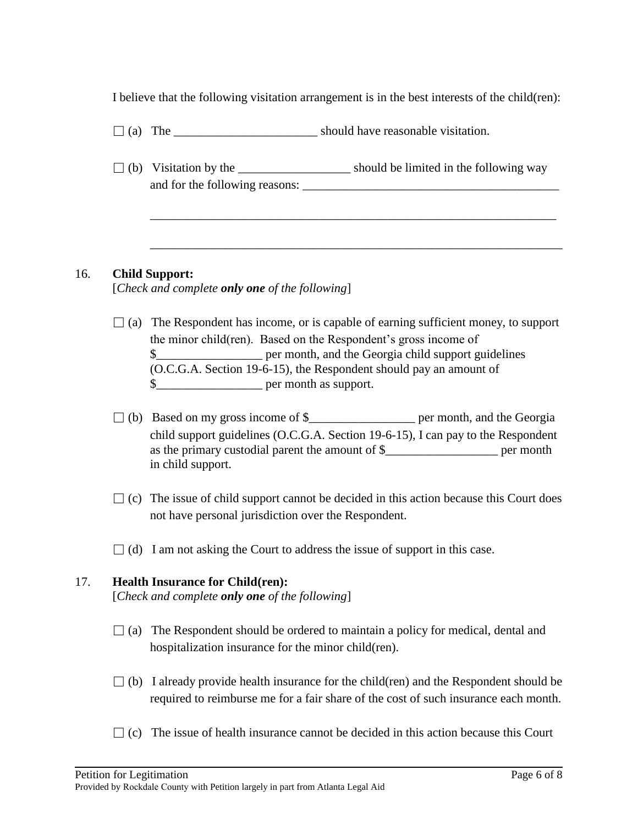I believe that the following visitation arrangement is in the best interests of the child(ren):

- $\Box$  (a) The should have reasonable visitation.
- $\Box$  (b) Visitation by the \_\_\_\_\_\_\_\_\_\_\_\_\_\_\_\_\_\_\_\_\_\_\_ should be limited in the following way and for the following reasons: \_\_\_\_\_\_\_\_\_\_\_\_\_\_\_\_\_\_\_\_\_\_\_\_\_\_\_\_\_\_\_\_\_\_\_\_\_\_\_\_\_

\_\_\_\_\_\_\_\_\_\_\_\_\_\_\_\_\_\_\_\_\_\_\_\_\_\_\_\_\_\_\_\_\_\_\_\_\_\_\_\_\_\_\_\_\_\_\_\_\_\_\_\_\_\_\_\_\_\_\_\_\_\_\_\_\_

\_\_\_\_\_\_\_\_\_\_\_\_\_\_\_\_\_\_\_\_\_\_\_\_\_\_\_\_\_\_\_\_\_\_\_\_\_\_\_\_\_\_\_\_\_\_\_\_\_\_\_\_\_\_\_\_\_\_\_\_\_\_\_\_\_\_

## 16. **Child Support:**

[*Check and complete only one of the following*]

- $\Box$  (a) The Respondent has income, or is capable of earning sufficient money, to support the minor child(ren). Based on the Respondent's gross income of \$\_\_\_\_\_\_\_\_\_\_\_\_\_\_\_\_\_ per month, and the Georgia child support guidelines (O.C.G.A. Section 19-6-15), the Respondent should pay an amount of \$\_\_\_\_\_\_\_\_\_\_\_\_\_\_\_\_\_ per month as support.
- $\Box$  (b) Based on my gross income of \$\_\_\_\_\_\_\_\_\_\_\_\_\_\_\_\_\_\_\_\_\_\_ per month, and the Georgia child support guidelines (O.C.G.A. Section 19-6-15), I can pay to the Respondent as the primary custodial parent the amount of \$\_\_\_\_\_\_\_\_\_\_\_\_\_\_\_\_\_\_ per month in child support.
- $\Box$  (c) The issue of child support cannot be decided in this action because this Court does not have personal jurisdiction over the Respondent.
- $\Box$  (d) I am not asking the Court to address the issue of support in this case.

## 17. **Health Insurance for Child(ren):**

[*Check and complete only one of the following*]

- $\Box$  (a) The Respondent should be ordered to maintain a policy for medical, dental and hospitalization insurance for the minor child(ren).
- $\Box$  (b) I already provide health insurance for the child(ren) and the Respondent should be required to reimburse me for a fair share of the cost of such insurance each month.
- $\Box$  (c) The issue of health insurance cannot be decided in this action because this Court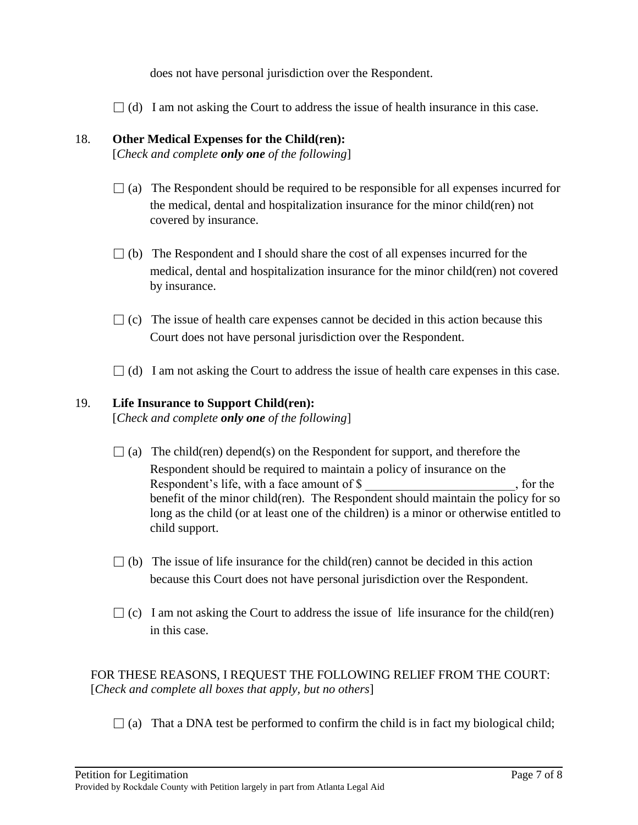does not have personal jurisdiction over the Respondent.

 $\Box$  (d) I am not asking the Court to address the issue of health insurance in this case.

## 18. **Other Medical Expenses for the Child(ren):**

[*Check and complete only one of the following*]

- $\Box$  (a) The Respondent should be required to be responsible for all expenses incurred for the medical, dental and hospitalization insurance for the minor child(ren) not covered by insurance.
- $\Box$  (b) The Respondent and I should share the cost of all expenses incurred for the medical, dental and hospitalization insurance for the minor child(ren) not covered by insurance.
- $\Box$  (c) The issue of health care expenses cannot be decided in this action because this Court does not have personal jurisdiction over the Respondent.
- $\Box$  (d) I am not asking the Court to address the issue of health care expenses in this case.

#### 19. **Life Insurance to Support Child(ren):**

[*Check and complete only one of the following*]

- $\Box$  (a) The child(ren) depend(s) on the Respondent for support, and therefore the Respondent should be required to maintain a policy of insurance on the Respondent's life, with a face amount of \$  $\,$ , for the benefit of the minor child(ren). The Respondent should maintain the policy for so long as the child (or at least one of the children) is a minor or otherwise entitled to child support.
- $\Box$  (b) The issue of life insurance for the child(ren) cannot be decided in this action because this Court does not have personal jurisdiction over the Respondent.
- $\Box$  (c) I am not asking the Court to address the issue of life insurance for the child(ren) in this case.

 FOR THESE REASONS, I REQUEST THE FOLLOWING RELIEF FROM THE COURT: [*Check and complete all boxes that apply, but no others*]

 $\Box$  (a) That a DNA test be performed to confirm the child is in fact my biological child;